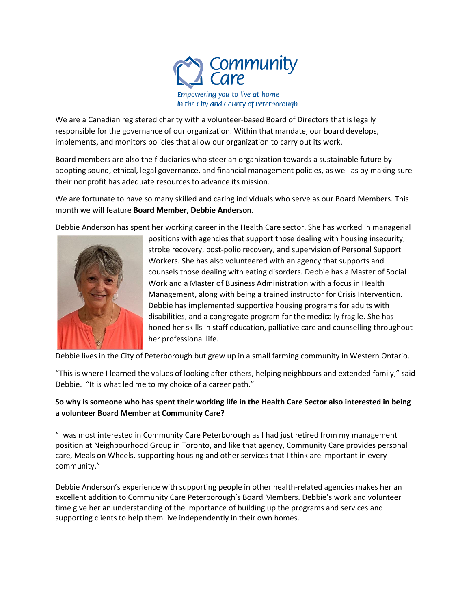

We are a Canadian registered charity with a volunteer-based Board of Directors that is legally responsible for the governance of our organization. Within that mandate, our board develops, implements, and monitors policies that allow our organization to carry out its work.

Board members are also the fiduciaries who steer an organization towards a sustainable future by adopting sound, ethical, legal governance, and financial management policies, as well as by making sure their nonprofit has adequate resources to advance its mission.

We are fortunate to have so many skilled and caring individuals who serve as our Board Members. This month we will feature **Board Member, Debbie Anderson.**

Debbie Anderson has spent her working career in the Health Care sector. She has worked in managerial



positions with agencies that support those dealing with housing insecurity, stroke recovery, post-polio recovery, and supervision of Personal Support Workers. She has also volunteered with an agency that supports and counsels those dealing with eating disorders. Debbie has a Master of Social Work and a Master of Business Administration with a focus in Health Management, along with being a trained instructor for Crisis Intervention. Debbie has implemented supportive housing programs for adults with disabilities, and a congregate program for the medically fragile. She has honed her skills in staff education, palliative care and counselling throughout her professional life.

Debbie lives in the City of Peterborough but grew up in a small farming community in Western Ontario.

"This is where I learned the values of looking after others, helping neighbours and extended family," said Debbie. "It is what led me to my choice of a career path."

## **So why is someone who has spent their working life in the Health Care Sector also interested in being a volunteer Board Member at Community Care?**

"I was most interested in Community Care Peterborough as I had just retired from my management position at Neighbourhood Group in Toronto, and like that agency, Community Care provides personal care, Meals on Wheels, supporting housing and other services that I think are important in every community."

Debbie Anderson's experience with supporting people in other health-related agencies makes her an excellent addition to Community Care Peterborough's Board Members. Debbie's work and volunteer time give her an understanding of the importance of building up the programs and services and supporting clients to help them live independently in their own homes.